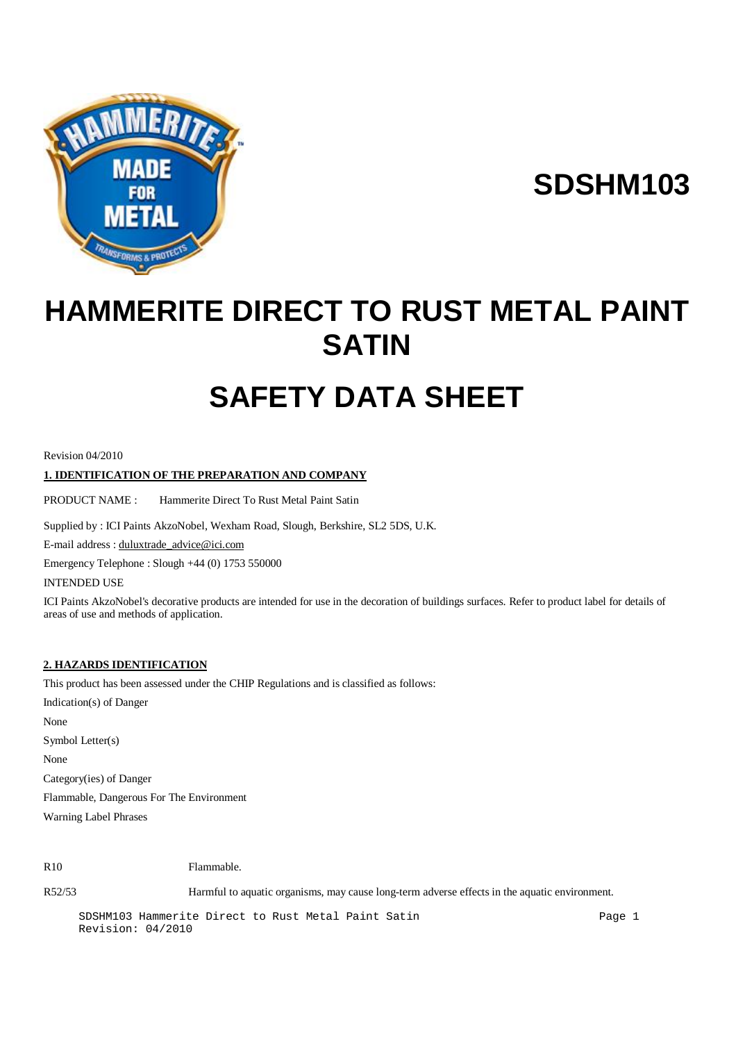

**SDSHM103**

## **HAMMERITE DIRECT TO RUST METAL PAINT SATIN**

# **SAFETY DATA SHEET**

Revision 04/2010

## **1. IDENTIFICATION OF THE PREPARATION AND COMPANY**

PRODUCT NAME : Hammerite Direct To Rust Metal Paint Satin

Supplied by : ICI Paints AkzoNobel, Wexham Road, Slough, Berkshire, SL2 5DS, U.K.

E-mail address : [duluxtrade\\_advice@ici.com](mailto:duluxtrade_advice@ici.com)

Emergency Telephone : Slough +44 (0) 1753 550000

INTENDED USE

ICI Paints AkzoNobel's decorative products are intended for use in the decoration of buildings surfaces. Refer to product label for details of areas of use and methods of application.

## **2. HAZARDS IDENTIFICATION**

This product has been assessed under the CHIP Regulations and is classified as follows:

Indication(s) of Danger None Symbol Letter(s) None Category(ies) of Danger Flammable, Dangerous For The Environment Warning Label Phrases

R10 Flammable.

R52/53 Harmful to aquatic organisms, may cause long-term adverse effects in the aquatic environment.

SDSHM103 Hammerite Direct to Rust Metal Paint Satin Page 1 Revision: 04/2010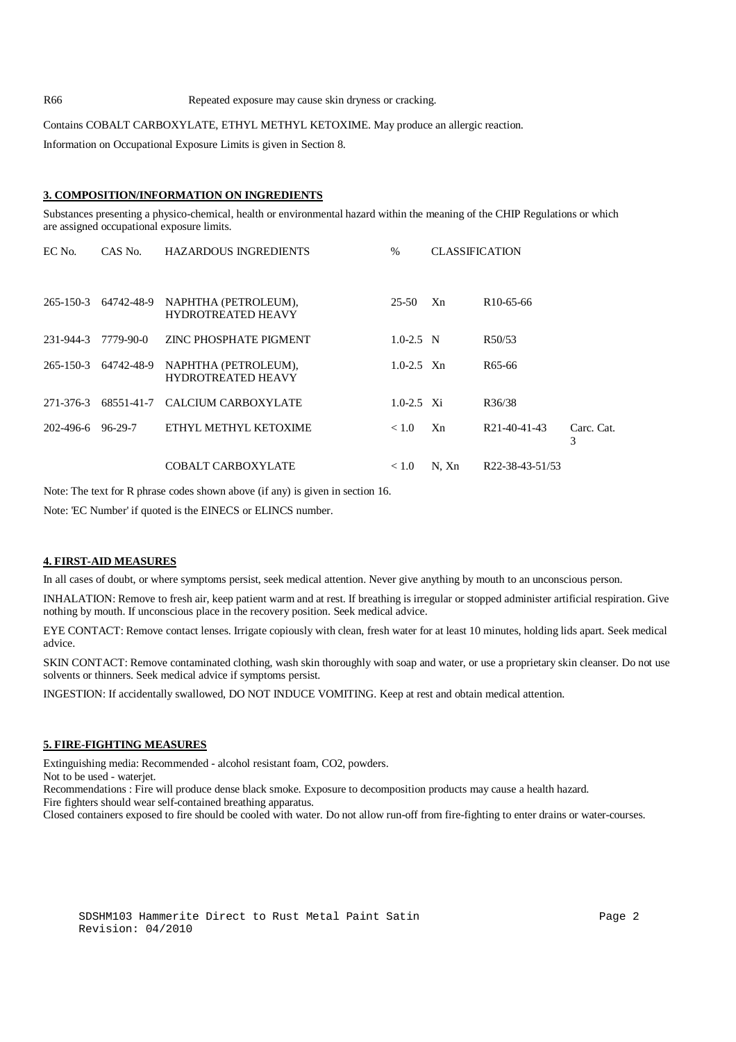R66 Repeated exposure may cause skin dryness or cracking.

Contains COBALT CARBOXYLATE, ETHYL METHYL KETOXIME. May produce an allergic reaction.

Information on Occupational Exposure Limits is given in Section 8.

#### **3. COMPOSITION/INFORMATION ON INGREDIENTS**

Substances presenting a physico-chemical, health or environmental hazard within the meaning of the CHIP Regulations or which are assigned occupational exposure limits.

| EC No.    | CAS No.    | <b>HAZARDOUS INGREDIENTS</b>                      | $\%$           | <b>CLASSIFICATION</b> |                              |                 |
|-----------|------------|---------------------------------------------------|----------------|-----------------------|------------------------------|-----------------|
| 265-150-3 | 64742-48-9 | NAPHTHA (PETROLEUM),<br><b>HYDROTREATED HEAVY</b> | 25-50          | Xn                    | R <sub>10</sub> -65-66       |                 |
| 231-944-3 | 7779-90-0  | ZINC PHOSPHATE PIGMENT                            | $1.0 - 2.5$ N  |                       | R50/53                       |                 |
| 265-150-3 | 64742-48-9 | NAPHTHA (PETROLEUM),<br><b>HYDROTREATED HEAVY</b> | $1.0 - 2.5$ Xn |                       | R <sub>65</sub> -66          |                 |
| 271-376-3 | 68551-41-7 | CALCIUM CARBOXYLATE                               | $1.0 - 2.5$ Xi |                       | R36/38                       |                 |
| 202-496-6 | 96-29-7    | ETHYL METHYL KETOXIME                             | < 1.0          | Xn                    | R <sub>21</sub> -40-41-43    | Carc. Cat.<br>3 |
|           |            | <b>COBALT CARBOXYLATE</b>                         | < 1.0          | N. Xn                 | R <sub>22</sub> -38-43-51/53 |                 |

Note: The text for R phrase codes shown above (if any) is given in section 16.

Note: 'EC Number' if quoted is the EINECS or ELINCS number.

#### **4. FIRST-AID MEASURES**

In all cases of doubt, or where symptoms persist, seek medical attention. Never give anything by mouth to an unconscious person.

INHALATION: Remove to fresh air, keep patient warm and at rest. If breathing is irregular or stopped administer artificial respiration. Give nothing by mouth. If unconscious place in the recovery position. Seek medical advice.

EYE CONTACT: Remove contact lenses. Irrigate copiously with clean, fresh water for at least 10 minutes, holding lids apart. Seek medical advice.

SKIN CONTACT: Remove contaminated clothing, wash skin thoroughly with soap and water, or use a proprietary skin cleanser. Do not use solvents or thinners. Seek medical advice if symptoms persist.

INGESTION: If accidentally swallowed, DO NOT INDUCE VOMITING. Keep at rest and obtain medical attention.

## **5. FIRE-FIGHTING MEASURES**

Extinguishing media: Recommended - alcohol resistant foam, CO2, powders.

Not to be used - waterjet.

Recommendations : Fire will produce dense black smoke. Exposure to decomposition products may cause a health hazard. Fire fighters should wear self-contained breathing apparatus.

Closed containers exposed to fire should be cooled with water. Do not allow run-off from fire-fighting to enter drains or water-courses.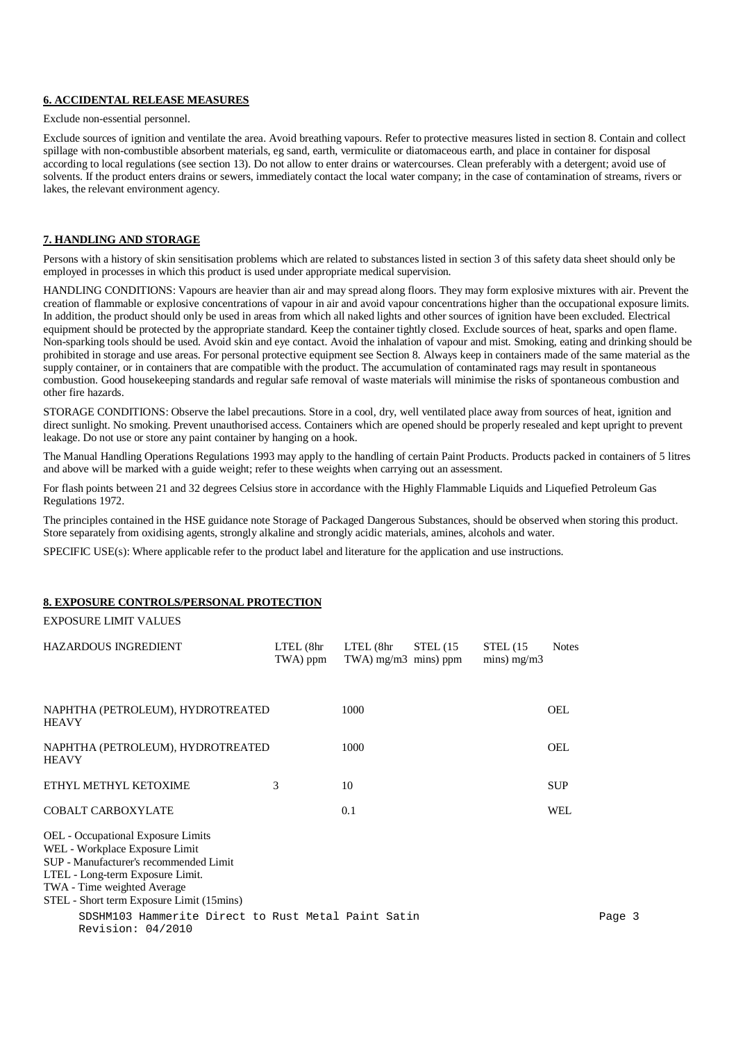## **6. ACCIDENTAL RELEASE MEASURES**

Exclude non-essential personnel.

Exclude sources of ignition and ventilate the area. Avoid breathing vapours. Refer to protective measures listed in section 8. Contain and collect spillage with non-combustible absorbent materials, eg sand, earth, vermiculite or diatomaceous earth, and place in container for disposal according to local regulations (see section 13). Do not allow to enter drains or watercourses. Clean preferably with a detergent; avoid use of solvents. If the product enters drains or sewers, immediately contact the local water company; in the case of contamination of streams, rivers or lakes, the relevant environment agency.

## **7. HANDLING AND STORAGE**

Persons with a history of skin sensitisation problems which are related to substances listed in section 3 of this safety data sheet should only be employed in processes in which this product is used under appropriate medical supervision.

HANDLING CONDITIONS: Vapours are heavier than air and may spread along floors. They may form explosive mixtures with air. Prevent the creation of flammable or explosive concentrations of vapour in air and avoid vapour concentrations higher than the occupational exposure limits. In addition, the product should only be used in areas from which all naked lights and other sources of ignition have been excluded. Electrical equipment should be protected by the appropriate standard. Keep the container tightly closed. Exclude sources of heat, sparks and open flame. Non-sparking tools should be used. Avoid skin and eye contact. Avoid the inhalation of vapour and mist. Smoking, eating and drinking should be prohibited in storage and use areas. For personal protective equipment see Section 8. Always keep in containers made of the same material as the supply container, or in containers that are compatible with the product. The accumulation of contaminated rags may result in spontaneous combustion. Good housekeeping standards and regular safe removal of waste materials will minimise the risks of spontaneous combustion and other fire hazards.

STORAGE CONDITIONS: Observe the label precautions. Store in a cool, dry, well ventilated place away from sources of heat, ignition and direct sunlight. No smoking. Prevent unauthorised access. Containers which are opened should be properly resealed and kept upright to prevent leakage. Do not use or store any paint container by hanging on a hook.

The Manual Handling Operations Regulations 1993 may apply to the handling of certain Paint Products. Products packed in containers of 5 litres and above will be marked with a guide weight; refer to these weights when carrying out an assessment.

For flash points between 21 and 32 degrees Celsius store in accordance with the Highly Flammable Liquids and Liquefied Petroleum Gas Regulations 1972.

The principles contained in the HSE guidance note Storage of Packaged Dangerous Substances, should be observed when storing this product. Store separately from oxidising agents, strongly alkaline and strongly acidic materials, amines, alcohols and water.

SPECIFIC USE(s): Where applicable refer to the product label and literature for the application and use instructions.

## **8. EXPOSURE CONTROLS/PERSONAL PROTECTION**

EXPOSURE LIMIT VALUES

| HAZARDOUS INGREDIENT                                                                                                                                                                                                           | LTEL (8hr<br>TWA) ppm | $LTEL$ ( $8hr$<br>TWA) $mg/m3$ mins) ppm | STEL(15) | STEL(15)<br>mins) $mg/m3$ | <b>Notes</b> |        |
|--------------------------------------------------------------------------------------------------------------------------------------------------------------------------------------------------------------------------------|-----------------------|------------------------------------------|----------|---------------------------|--------------|--------|
| NAPHTHA (PETROLEUM), HYDROTREATED<br><b>HEAVY</b>                                                                                                                                                                              |                       | 1000                                     |          |                           | <b>OEL</b>   |        |
| NAPHTHA (PETROLEUM), HYDROTREATED<br><b>HEAVY</b>                                                                                                                                                                              |                       | 1000                                     |          |                           | <b>OEL</b>   |        |
| ETHYL METHYL KETOXIME                                                                                                                                                                                                          | 3                     | 10                                       |          |                           | <b>SUP</b>   |        |
| <b>COBALT CARBOXYLATE</b>                                                                                                                                                                                                      |                       | 0.1                                      |          |                           | <b>WEL</b>   |        |
| OEL - Occupational Exposure Limits<br>WEL - Workplace Exposure Limit<br>SUP - Manufacturer's recommended Limit<br>LTEL - Long-term Exposure Limit.<br>TWA - Time weighted Average<br>STEL - Short term Exposure Limit (15mins) |                       |                                          |          |                           |              |        |
| SDSHM103 Hammerite Direct to Rust Metal Paint Satin<br>Revision: 04/2010                                                                                                                                                       |                       |                                          |          |                           |              | Page 3 |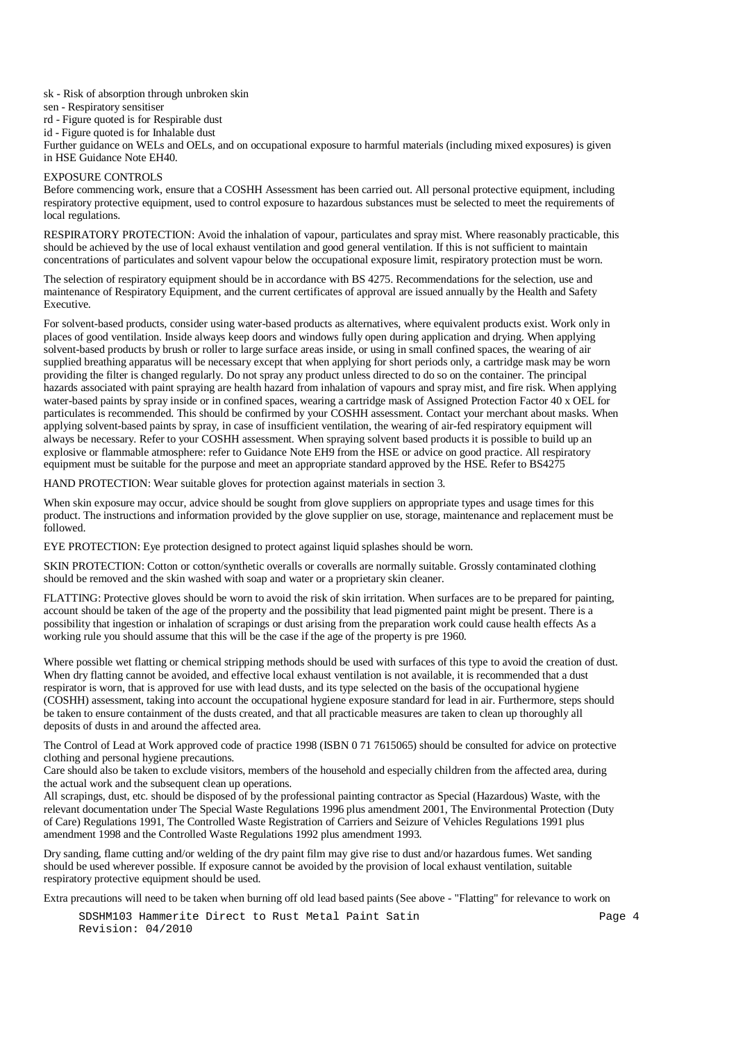sk - Risk of absorption through unbroken skin

- sen Respiratory sensitiser
- rd Figure quoted is for Respirable dust
- id Figure quoted is for Inhalable dust

Further guidance on WELs and OELs, and on occupational exposure to harmful materials (including mixed exposures) is given in HSE Guidance Note EH40.

#### EXPOSURE CONTROLS

Before commencing work, ensure that a COSHH Assessment has been carried out. All personal protective equipment, including respiratory protective equipment, used to control exposure to hazardous substances must be selected to meet the requirements of local regulations.

RESPIRATORY PROTECTION: Avoid the inhalation of vapour, particulates and spray mist. Where reasonably practicable, this should be achieved by the use of local exhaust ventilation and good general ventilation. If this is not sufficient to maintain concentrations of particulates and solvent vapour below the occupational exposure limit, respiratory protection must be worn.

The selection of respiratory equipment should be in accordance with BS 4275. Recommendations for the selection, use and maintenance of Respiratory Equipment, and the current certificates of approval are issued annually by the Health and Safety Executive.

For solvent-based products, consider using water-based products as alternatives, where equivalent products exist. Work only in places of good ventilation. Inside always keep doors and windows fully open during application and drying. When applying solvent-based products by brush or roller to large surface areas inside, or using in small confined spaces, the wearing of air supplied breathing apparatus will be necessary except that when applying for short periods only, a cartridge mask may be worn providing the filter is changed regularly. Do not spray any product unless directed to do so on the container. The principal hazards associated with paint spraying are health hazard from inhalation of vapours and spray mist, and fire risk. When applying water-based paints by spray inside or in confined spaces, wearing a cartridge mask of Assigned Protection Factor 40 x OEL for particulates is recommended. This should be confirmed by your COSHH assessment. Contact your merchant about masks. When applying solvent-based paints by spray, in case of insufficient ventilation, the wearing of air-fed respiratory equipment will always be necessary. Refer to your COSHH assessment. When spraying solvent based products it is possible to build up an explosive or flammable atmosphere: refer to Guidance Note EH9 from the HSE or advice on good practice. All respiratory equipment must be suitable for the purpose and meet an appropriate standard approved by the HSE. Refer to BS4275

HAND PROTECTION: Wear suitable gloves for protection against materials in section 3.

When skin exposure may occur, advice should be sought from glove suppliers on appropriate types and usage times for this product. The instructions and information provided by the glove supplier on use, storage, maintenance and replacement must be followed.

EYE PROTECTION: Eye protection designed to protect against liquid splashes should be worn.

SKIN PROTECTION: Cotton or cotton/synthetic overalls or coveralls are normally suitable. Grossly contaminated clothing should be removed and the skin washed with soap and water or a proprietary skin cleaner.

FLATTING: Protective gloves should be worn to avoid the risk of skin irritation. When surfaces are to be prepared for painting, account should be taken of the age of the property and the possibility that lead pigmented paint might be present. There is a possibility that ingestion or inhalation of scrapings or dust arising from the preparation work could cause health effects As a working rule you should assume that this will be the case if the age of the property is pre 1960.

Where possible wet flatting or chemical stripping methods should be used with surfaces of this type to avoid the creation of dust. When dry flatting cannot be avoided, and effective local exhaust ventilation is not available, it is recommended that a dust respirator is worn, that is approved for use with lead dusts, and its type selected on the basis of the occupational hygiene (COSHH) assessment, taking into account the occupational hygiene exposure standard for lead in air. Furthermore, steps should be taken to ensure containment of the dusts created, and that all practicable measures are taken to clean up thoroughly all deposits of dusts in and around the affected area.

The Control of Lead at Work approved code of practice 1998 (ISBN 0 71 7615065) should be consulted for advice on protective clothing and personal hygiene precautions.

Care should also be taken to exclude visitors, members of the household and especially children from the affected area, during the actual work and the subsequent clean up operations.

All scrapings, dust, etc. should be disposed of by the professional painting contractor as Special (Hazardous) Waste, with the relevant documentation under The Special Waste Regulations 1996 plus amendment 2001, The Environmental Protection (Duty of Care) Regulations 1991, The Controlled Waste Registration of Carriers and Seizure of Vehicles Regulations 1991 plus amendment 1998 and the Controlled Waste Regulations 1992 plus amendment 1993.

Dry sanding, flame cutting and/or welding of the dry paint film may give rise to dust and/or hazardous fumes. Wet sanding should be used wherever possible. If exposure cannot be avoided by the provision of local exhaust ventilation, suitable respiratory protective equipment should be used.

Extra precautions will need to be taken when burning off old lead based paints (See above - "Flatting" for relevance to work on

SDSHM103 Hammerite Direct to Rust Metal Paint Satin Page 4 Revision: 04/2010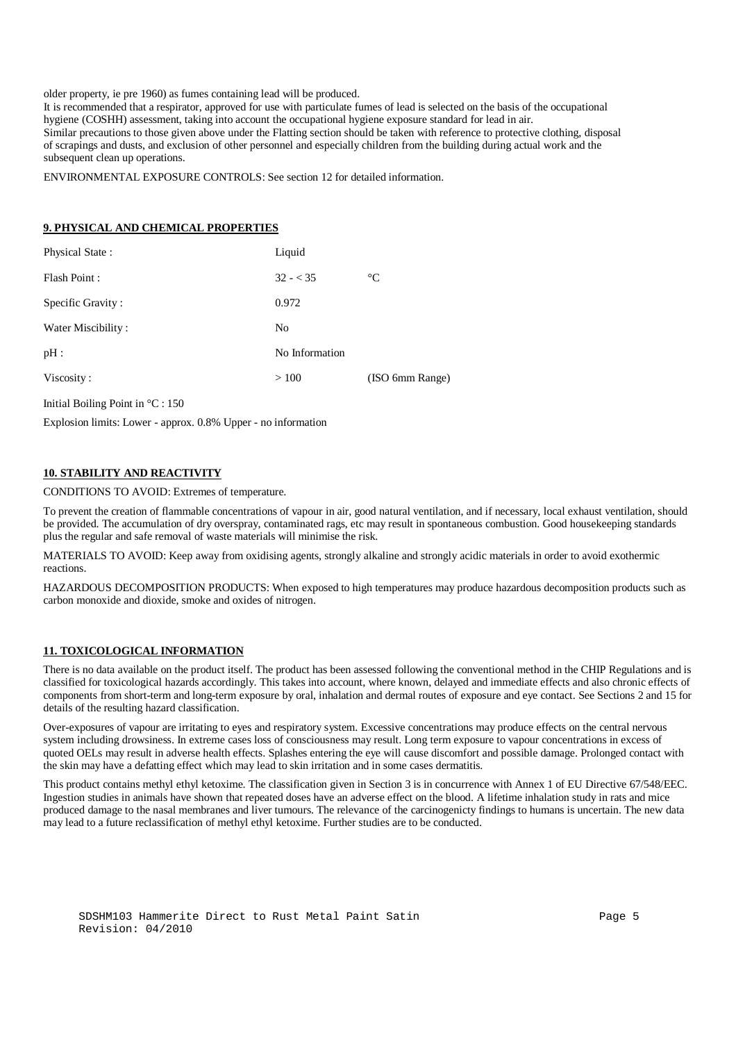older property, ie pre 1960) as fumes containing lead will be produced.

It is recommended that a respirator, approved for use with particulate fumes of lead is selected on the basis of the occupational hygiene (COSHH) assessment, taking into account the occupational hygiene exposure standard for lead in air. Similar precautions to those given above under the Flatting section should be taken with reference to protective clothing, disposal of scrapings and dusts, and exclusion of other personnel and especially children from the building during actual work and the subsequent clean up operations.

ENVIRONMENTAL EXPOSURE CONTROLS: See section 12 for detailed information.

## **9. PHYSICAL AND CHEMICAL PROPERTIES**

| Physical State:    | Liquid         |                 |
|--------------------|----------------|-----------------|
| Flash Point:       | $32 - 35$      | $\rm ^{\circ}C$ |
| Specific Gravity:  | 0.972          |                 |
| Water Miscibility: | N <sub>0</sub> |                 |
| pH:                | No Information |                 |
| Viscosity:         | >100           | (ISO 6mm Range) |
|                    |                |                 |

Initial Boiling Point in °C : 150

Explosion limits: Lower - approx. 0.8% Upper - no information

## **10. STABILITY AND REACTIVITY**

CONDITIONS TO AVOID: Extremes of temperature.

To prevent the creation of flammable concentrations of vapour in air, good natural ventilation, and if necessary, local exhaust ventilation, should be provided. The accumulation of dry overspray, contaminated rags, etc may result in spontaneous combustion. Good housekeeping standards plus the regular and safe removal of waste materials will minimise the risk.

MATERIALS TO AVOID: Keep away from oxidising agents, strongly alkaline and strongly acidic materials in order to avoid exothermic reactions.

HAZARDOUS DECOMPOSITION PRODUCTS: When exposed to high temperatures may produce hazardous decomposition products such as carbon monoxide and dioxide, smoke and oxides of nitrogen.

#### **11. TOXICOLOGICAL INFORMATION**

There is no data available on the product itself. The product has been assessed following the conventional method in the CHIP Regulations and is classified for toxicological hazards accordingly. This takes into account, where known, delayed and immediate effects and also chronic effects of components from short-term and long-term exposure by oral, inhalation and dermal routes of exposure and eye contact. See Sections 2 and 15 for details of the resulting hazard classification.

Over-exposures of vapour are irritating to eyes and respiratory system. Excessive concentrations may produce effects on the central nervous system including drowsiness. In extreme cases loss of consciousness may result. Long term exposure to vapour concentrations in excess of quoted OELs may result in adverse health effects. Splashes entering the eye will cause discomfort and possible damage. Prolonged contact with the skin may have a defatting effect which may lead to skin irritation and in some cases dermatitis.

This product contains methyl ethyl ketoxime. The classification given in Section 3 is in concurrence with Annex 1 of EU Directive 67/548/EEC. Ingestion studies in animals have shown that repeated doses have an adverse effect on the blood. A lifetime inhalation study in rats and mice produced damage to the nasal membranes and liver tumours. The relevance of the carcinogenicty findings to humans is uncertain. The new data may lead to a future reclassification of methyl ethyl ketoxime. Further studies are to be conducted.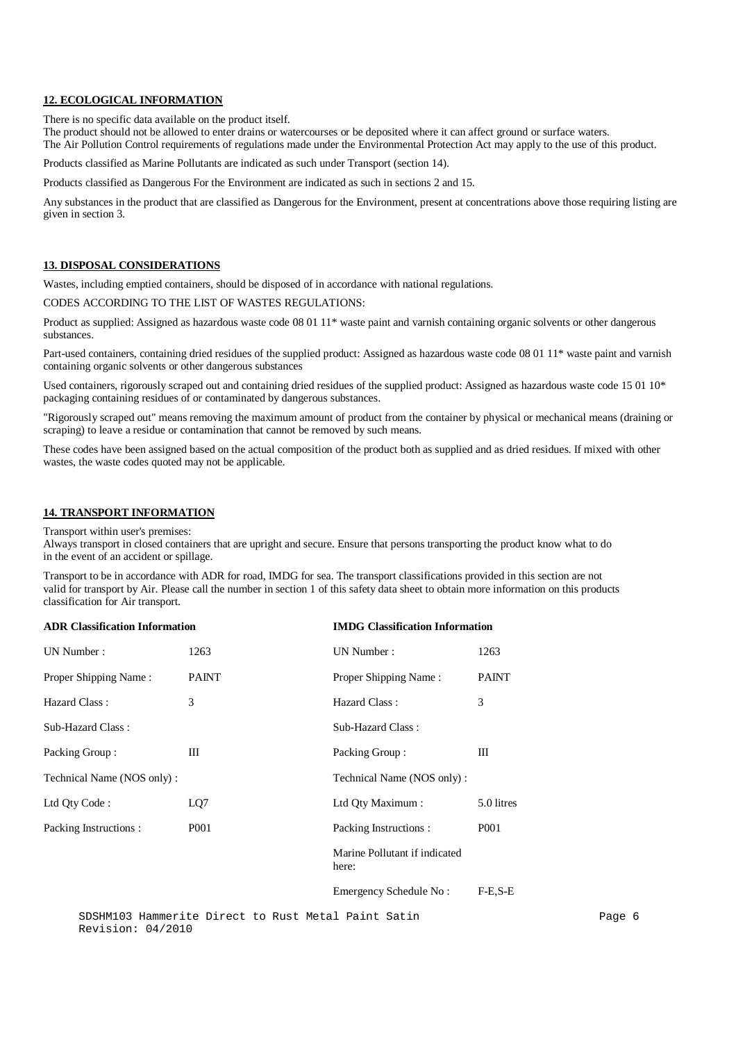#### **12. ECOLOGICAL INFORMATION**

There is no specific data available on the product itself.

The product should not be allowed to enter drains or watercourses or be deposited where it can affect ground or surface waters. The Air Pollution Control requirements of regulations made under the Environmental Protection Act may apply to the use of this product.

Products classified as Marine Pollutants are indicated as such under Transport (section 14).

Products classified as Dangerous For the Environment are indicated as such in sections 2 and 15.

Any substances in the product that are classified as Dangerous for the Environment, present at concentrations above those requiring listing are given in section 3.

## **13. DISPOSAL CONSIDERATIONS**

Wastes, including emptied containers, should be disposed of in accordance with national regulations.

CODES ACCORDING TO THE LIST OF WASTES REGULATIONS:

Product as supplied: Assigned as hazardous waste code 08 01 11\* waste paint and varnish containing organic solvents or other dangerous substances.

Part-used containers, containing dried residues of the supplied product: Assigned as hazardous waste code 08 01 11\* waste paint and varnish containing organic solvents or other dangerous substances

Used containers, rigorously scraped out and containing dried residues of the supplied product: Assigned as hazardous waste code 15 01 10<sup>\*</sup> packaging containing residues of or contaminated by dangerous substances.

"Rigorously scraped out" means removing the maximum amount of product from the container by physical or mechanical means (draining or scraping) to leave a residue or contamination that cannot be removed by such means.

These codes have been assigned based on the actual composition of the product both as supplied and as dried residues. If mixed with other wastes, the waste codes quoted may not be applicable.

## **14. TRANSPORT INFORMATION**

Transport within user's premises:

Always transport in closed containers that are upright and secure. Ensure that persons transporting the product know what to do in the event of an accident or spillage.

Transport to be in accordance with ADR for road, IMDG for sea. The transport classifications provided in this section are not valid for transport by Air. Please call the number in section 1 of this safety data sheet to obtain more information on this products classification for Air transport.

| <b>ADR Classification Information</b> |                  | <b>IMDG Classification Information</b> |                  |  |
|---------------------------------------|------------------|----------------------------------------|------------------|--|
| UN Number:                            | 1263             | UN Number:                             | 1263             |  |
| Proper Shipping Name:                 | <b>PAINT</b>     | Proper Shipping Name:                  | <b>PAINT</b>     |  |
| Hazard Class:                         | 3                | Hazard Class:                          | 3                |  |
| Sub-Hazard Class:                     |                  | Sub-Hazard Class:                      |                  |  |
| Packing Group:                        | Ш                | Packing Group:                         | Ш                |  |
| Technical Name (NOS only):            |                  | Technical Name (NOS only):             |                  |  |
| Ltd Qty Code:                         | LQ7              | Ltd Qty Maximum:                       | 5.0 litres       |  |
| Packing Instructions :                | P <sub>001</sub> | Packing Instructions:                  | P <sub>001</sub> |  |
|                                       |                  | Marine Pollutant if indicated<br>here: |                  |  |
|                                       |                  | Emergency Schedule No:                 | $F-E.S-E$        |  |

SDSHM103 Hammerite Direct to Rust Metal Paint Satin Page 6 Revision: 04/2010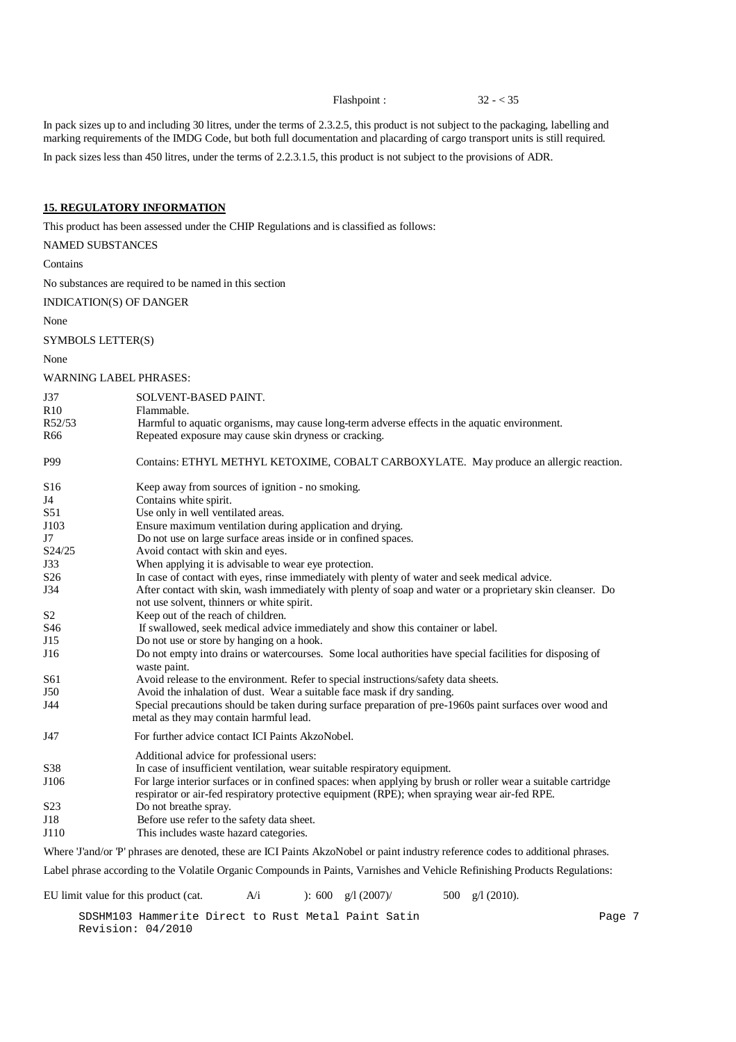Flashpoint : 32 - < 35

In pack sizes up to and including 30 litres, under the terms of 2.3.2.5, this product is not subject to the packaging, labelling and marking requirements of the IMDG Code, but both full documentation and placarding of cargo transport units is still required.

In pack sizes less than 450 litres, under the terms of 2.2.3.1.5, this product is not subject to the provisions of ADR.

## **15. REGULATORY INFORMATION**

This product has been assessed under the CHIP Regulations and is classified as follows:

| NAMED SUBSTANCES        |                                                                                                                                                                                                                |
|-------------------------|----------------------------------------------------------------------------------------------------------------------------------------------------------------------------------------------------------------|
| Contains                |                                                                                                                                                                                                                |
|                         | No substances are required to be named in this section                                                                                                                                                         |
| INDICATION(S) OF DANGER |                                                                                                                                                                                                                |
| None                    |                                                                                                                                                                                                                |
| SYMBOLS LETTER(S)       |                                                                                                                                                                                                                |
| None                    |                                                                                                                                                                                                                |
| WARNING LABEL PHRASES:  |                                                                                                                                                                                                                |
| J37                     | SOLVENT-BASED PAINT.                                                                                                                                                                                           |
| R <sub>10</sub>         | Flammable.                                                                                                                                                                                                     |
| R52/53                  | Harmful to aquatic organisms, may cause long-term adverse effects in the aquatic environment.                                                                                                                  |
| R66                     | Repeated exposure may cause skin dryness or cracking.                                                                                                                                                          |
| P99                     | Contains: ETHYL METHYL KETOXIME, COBALT CARBOXYLATE. May produce an allergic reaction.                                                                                                                         |
| S <sub>16</sub>         | Keep away from sources of ignition - no smoking.                                                                                                                                                               |
| J4                      | Contains white spirit.                                                                                                                                                                                         |
| S51                     | Use only in well ventilated areas.                                                                                                                                                                             |
| J103                    | Ensure maximum ventilation during application and drying.                                                                                                                                                      |
| J7                      | Do not use on large surface areas inside or in confined spaces.                                                                                                                                                |
| S24/25                  | Avoid contact with skin and eyes.                                                                                                                                                                              |
| J33                     | When applying it is advisable to wear eye protection.                                                                                                                                                          |
| S <sub>26</sub>         | In case of contact with eyes, rinse immediately with plenty of water and seek medical advice.                                                                                                                  |
| J34                     | After contact with skin, wash immediately with plenty of soap and water or a proprietary skin cleanser. Do<br>not use solvent, thinners or white spirit.                                                       |
| S2                      | Keep out of the reach of children.                                                                                                                                                                             |
| S46                     | If swallowed, seek medical advice immediately and show this container or label.                                                                                                                                |
| J15                     | Do not use or store by hanging on a hook.                                                                                                                                                                      |
| J16                     | Do not empty into drains or watercourses. Some local authorities have special facilities for disposing of<br>waste paint.                                                                                      |
| S61                     | Avoid release to the environment. Refer to special instructions/safety data sheets.                                                                                                                            |
| J50                     | Avoid the inhalation of dust. Wear a suitable face mask if dry sanding.                                                                                                                                        |
| J44                     | Special precautions should be taken during surface preparation of pre-1960s paint surfaces over wood and<br>metal as they may contain harmful lead.                                                            |
| J47                     | For further advice contact ICI Paints AkzoNobel.                                                                                                                                                               |
|                         | Additional advice for professional users:                                                                                                                                                                      |
| S38                     | In case of insufficient ventilation, wear suitable respiratory equipment.                                                                                                                                      |
| J106                    | For large interior surfaces or in confined spaces: when applying by brush or roller wear a suitable cartridge<br>respirator or air-fed respiratory protective equipment (RPE); when spraying wear air-fed RPE. |
| S23                     | Do not breathe spray.                                                                                                                                                                                          |
| J18                     | Before use refer to the safety data sheet.                                                                                                                                                                     |
| J110                    | This includes waste hazard categories.                                                                                                                                                                         |
|                         | Where Tand/or P' phrases are denoted, these are ICI Paints AkzoNobel or paint industry reference codes to additional phrases.                                                                                  |
|                         | Label phrase according to the Volatile Organic Compounds in Paints, Varnishes and Vehicle Refinishing Products Regulations:                                                                                    |

EU limit value for this product (cat.  $A/i$  ): 600 g/l (2007)/ 500 g/l (2010).

SDSHM103 Hammerite Direct to Rust Metal Paint Satin Page 7 Revision: 04/2010